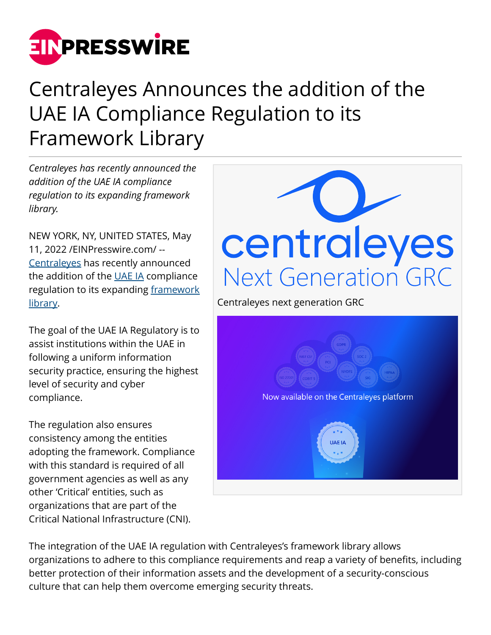

## Centraleyes Announces the addition of the UAE IA Compliance Regulation to its Framework Library

*Centraleyes has recently announced the addition of the UAE IA compliance regulation to its expanding framework library.*

NEW YORK, NY, UNITED STATES, May 11, 2022 /[EINPresswire.com/](http://www.einpresswire.com) -- [Centraleyes](https://www.centraleyes.com/) has recently announced the addition of the [UAE IA](https://www.centraleyes.com/uae-ia/) compliance regulation to its expanding [framework](https://www.centraleyes.com/standards/) [library.](https://www.centraleyes.com/standards/)

The goal of the UAE IA Regulatory is to assist institutions within the UAE in following a uniform information security practice, ensuring the highest level of security and cyber compliance.

The regulation also ensures consistency among the entities adopting the framework. Compliance with this standard is required of all government agencies as well as any other 'Critical' entities, such as organizations that are part of the Critical National Infrastructure (CNI).



The integration of the UAE IA regulation with Centraleyes's framework library allows organizations to adhere to this compliance requirements and reap a variety of benefits, including better protection of their information assets and the development of a security-conscious culture that can help them overcome emerging security threats.